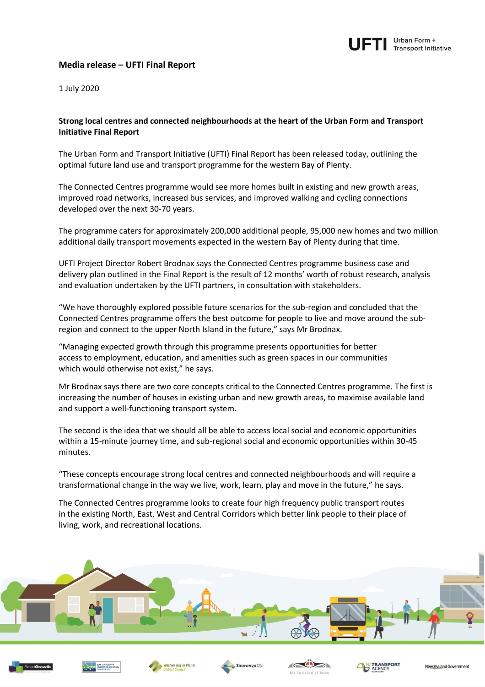

## **Media release – UFTI Final Report**

1 July 2020

## **Strong local centres and connected neighbourhoods at the heart of the Urban Form and Transport Initiative Final Report**

The Urban Form and Transport Initiative (UFTI) Final Report has been released today, outlining the optimal future land use and transport programme for the western Bay of Plenty.

The Connected Centres programme would see more homes built in existing and new growth areas, improved road networks, increased bus services, and improved walking and cycling connections developed over the next 30-70 years.

The programme caters for approximately 200,000 additional people, 95,000 new homes and two million additional daily transport movements expected in the western Bay of Plenty during that time.

UFTI Project Director Robert Brodnax says the Connected Centres programme business case and delivery plan outlined in the Final Report is the result of 12 months' worth of robust research, analysis and evaluation undertaken by the UFTI partners, in consultation with stakeholders.

"We have thoroughly explored possible future scenarios for the sub-region and concluded that the Connected Centres programme offers the best outcome for people to live and move around the subregion and connect to the upper North Island in the future," says Mr Brodnax.

"Managing expected growth through this programme presents opportunities for better access to employment, education, and amenities such as green spaces in our communities which would otherwise not exist," he says.

Mr Brodnax says there are two core concepts critical to the Connected Centres programme. The first is increasing the number of houses in existing urban and new growth areas, to maximise available land and support a well-functioning transport system.

The second is the idea that we should all be able to access local social and economic opportunities within a 15-minute journey time, and sub-regional social and economic opportunities within 30-45 minutes.

"These concepts encourage strong local centres and connected neighbourhoods and will require a transformational change in the way we live, work, learn, play and move in the future," he says.

The Connected Centres programme looks to create four high frequency public transport routes in the existing North, East, West and Central Corridors which better link people to their place of living, work, and recreational locations.









Tauranga City





New Zealand Governi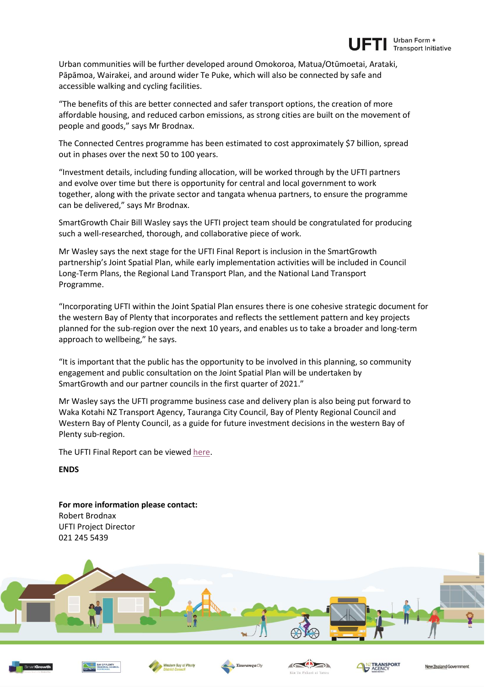

Urban communities will be further developed around Omokoroa, Matua/Otūmoetai, Arataki, Pāpāmoa, Wairakei, and around wider Te Puke, which will also be connected by safe and accessible walking and cycling facilities.

"The benefits of this are better connected and safer transport options, the creation of more affordable housing, and reduced carbon emissions, as strong cities are built on the movement of people and goods," says Mr Brodnax.

The Connected Centres programme has been estimated to cost approximately \$7 billion, spread out in phases over the next 50 to 100 years.

"Investment details, including funding allocation, will be worked through by the UFTI partners and evolve over time but there is opportunity for central and local government to work together, along with the private sector and tangata whenua partners, to ensure the programme can be delivered," says Mr Brodnax.

SmartGrowth Chair Bill Wasley says the UFTI project team should be congratulated for producing such a well-researched, thorough, and collaborative piece of work.

Mr Wasley says the next stage for the UFTI Final Report is inclusion in the SmartGrowth partnership's Joint Spatial Plan, while early implementation activities will be included in Council Long-Term Plans, the Regional Land Transport Plan, and the National Land Transport Programme.

"Incorporating UFTI within the Joint Spatial Plan ensures there is one cohesive strategic document for the western Bay of Plenty that incorporates and reflects the settlement pattern and key projects planned for the sub-region over the next 10 years, and enables us to take a broader and long-term approach to wellbeing," he says.

"It is important that the public has the opportunity to be involved in this planning, so community engagement and public consultation on the Joint Spatial Plan will be undertaken by SmartGrowth and our partner councils in the first quarter of 2021."

Mr Wasley says the UFTI programme business case and delivery plan is also being put forward to Waka Kotahi NZ Transport Agency, Tauranga City Council, Bay of Plenty Regional Council and Western Bay of Plenty Council, as a guide for future investment decisions in the western Bay of Plenty sub-region.

The UFTI Final Report can be viewed [here.](https://ufti.org.nz/wp-content/uploads/2020/07/22527_UFTI-Final-Report.pdf)

**ENDS**

**For more information please contact:** Robert Brodnax UFTI Project Director 021 245 5439